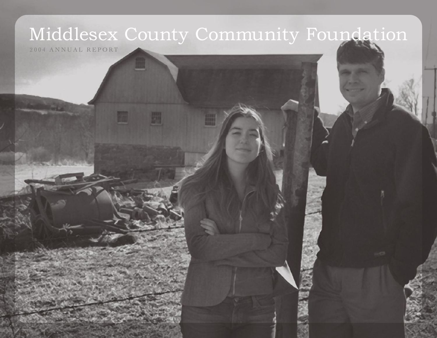# Middlesex County Community Foundation

2004 ANNUAL REPORT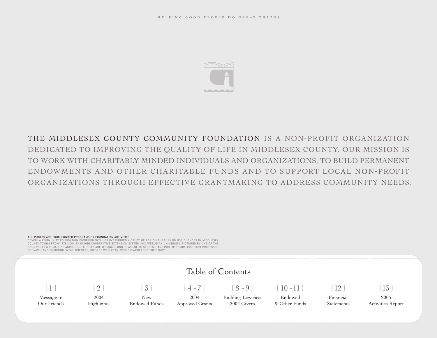

## THE MIDDLESEX COUNTY COMMUNITY FOUNDATION IS A NON-PROFIT ORGANIZATION DEDICATED TO IMPROVING THE QUALITY OF LIFE IN MIDDLESEX COUNTY. OUR MISSION IS TO WORK WITH CHARITABLY MINDED INDIVIDUALS AND ORGANIZATIONS, TO BUILD PERMANENT ENDOWMENTS AND OTHER CHARITABLE FUNDS AND TO SUPPORT LOCAL NON-PROFIT ORGANIZATIONS THROUGH EFFECTIVE GRANTMAKING TO ADDRESS COMMUNITY NEEDS.

#### ALL PHOTOS ARE FROM FUNDED PROGRAMS OR FOUNDATION ACTIVITIES

COVER: A COMMUNITY FOUNDATION ENVIRONMENTAL GRANT FUNDED A STUDY OF AGRICULTURAL LAND USE CHANGES IN MIDDLESEX COUNTY TOWNS FROM 1978–2004 BY UCONN COOPERATIVE EXTENSION SYSTEM AND WESLEYAN UNIVERSITY. PICTURED BY ONE OF THE COUNTY'S FEW REMAINING AGRICULTURAL SITES ARE JESSICA PFUND, CLASS OF '05 STUDENT, AND PHILLIP RESOR, ASSISTANT PROFESSOR OF EARTH AND ENVIRONMENTAL SCIENCES, BOTH OF WESLEYAN, WHO SPEARHEADED THE STUDY.

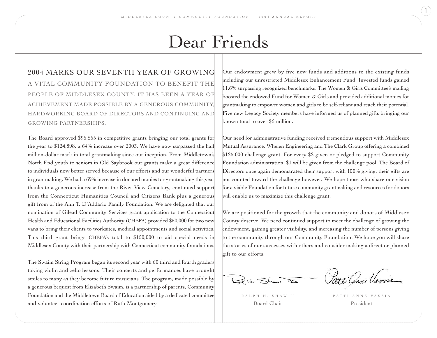## Dear Friends

2004 MARKS OUR SEVENTH YEAR OF GROWING A VITAL COMMUNITY FOUNDATION TO BENEFIT THE PEOPLE OF MIDDLESEX COUNTY. IT HAS BEEN A YEAR OF ACHIEVEMENT MADE POSSIBLE BY A GENEROUS COMMUNITY, HARDWORKING BOARD OF DIRECTORS AND CONTINUING AND GROWING PARTNERSHIPS.

The Board approved \$95,555 in competitive grants bringing our total grants for the year to \$124,898, a 64% increase over 2003. We have now surpassed the half million-dollar mark in total grantmaking since our inception. From Middletown's North End youth to seniors in Old Saybrook our grants make a great difference to individuals now better served because of our efforts and our wonderful partners in grantmaking. We had a 69% increase in donated monies for grantmaking this year thanks to a generous increase from the River View Cemetery, continued support from the Connecticut Humanities Council and Citizens Bank plus a generous gift from of the Ann T. D'Addario Family Foundation. We are delighted that our nomination of Gilead Community Services grant application to the Connecticut Health and Educational Facilities Authority (CHEFA) provided \$50,000 for two new vans to bring their clients to worksites, medical appointments and social activities. This third grant brings CHEFA's total to \$150,000 to aid special needs in Middlesex County with their partnership with Connecticut community foundations.

The Swaim String Program began its second year with 60 third and fourth graders taking violin and cello lessons. Their concerts and performances have brought smiles to many as they become future musicians. The program, made possible by a generous bequest from Elizabeth Swaim, is a partnership of parents, Community Foundation and the Middletown Board of Education aided by a dedicated committee and volunteer coordination efforts of Ruth Montgomery.

Our endowment grew by five new funds and additions to the existing funds including our unrestricted Middlesex Enhancement Fund. Invested funds gained 11.6% surpassing recognized benchmarks. The Women & Girls Committee's mailing boosted the endowed Fund for Women & Girls and provided additional monies for grantmaking to empower women and girls to be self-reliant and reach their potential. Five new Legacy Society members have informed us of planned gifts bringing our known total to over \$5 million.

Our need for administrative funding received tremendous support with Middlesex Mutual Assurance, Whelen Engineering and The Clark Group offering a combined \$125,000 challenge grant. For every \$2 given or pledged to support Community Foundation administration, \$1 will be given from the challenge pool. The Board of Directors once again demonstrated their support with 100% giving; their gifts are not counted toward the challenge however. We hope those who share our vision for a viable Foundation for future community grantmaking and resources for donors will enable us to maximize this challenge grant.

We are positioned for the growth that the community and donors of Middlesex County deserve. We need continued support to meet the challenge of growing the endowment, gaining greater visibility, and increasing the number of persons giving to the community through our Community Foundation. We hope you will share the stories of our successes with others and consider making a direct or planned gift to our efforts.

 $L_{el}$  is.  $\leq l$ 

Patti Cenne Varria

Board Chair President

RALPH H. SHAW II PATTI ANNE VASSIA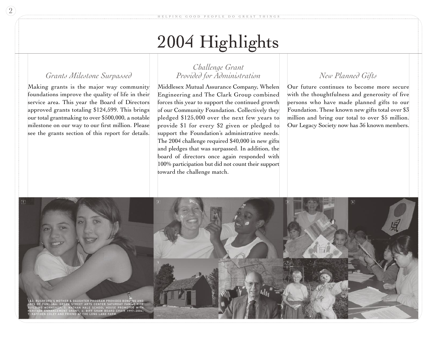# 2004 Highlights

## *Grants Milestone Surpassed*

Making grants is the major way community foundations improve the quality of life in their service area. This year the Board of Directors approved grants totaling \$124,599. This brings our total grantmaking to over \$500,000, a notable milestone on our way to our first million. Please see the grants section of this report for details.

## *Challenge Grant Provided for Administration*

Middlesex Mutual Assurance Company, Whelen Engineering and The Clark Group combined forces this year to support the continued growth of our Community Foundation. Collectively they pledged \$125,000 over the next few years to provide \$1 for every \$2 given or pledged to support the Foundation's administrative needs. The 2004 challenge required \$40,000 in new gifts and pledges that was surpassed. In addition, the board of directors once again responded with 100% participation but did not count their support toward the challenge match.

## *New Planned Gifts*

Our future continues to become more secure with the thoughtfulness and generosity of five persons who have made planned gifts to our Foundation. These known new gifts total over \$3 million and bring our total to over \$5 million. Our Legacy Society now has 36 known members.

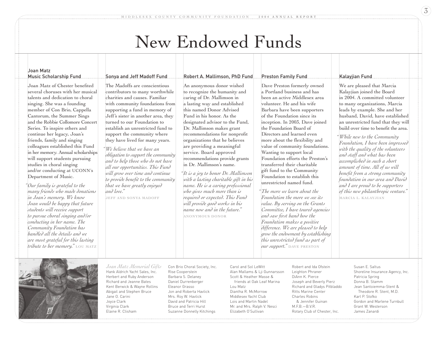## New Endowed Funds

Robert A. Mallimson, PhD Fund

#### Joan Matz Music Scholarship Fund

Joan Matz of Chester benefited several choruses with her musical talents and dedication to choral singing. She was a founding member of Con Brio, Cappella Cantorum, the Summer Sings and the Robbie Collomore Concert Series. To inspire others and continue her legacy, Joan's friends, family and singing colleagues established this Fund in her memory. Annual scholarships will support students pursuing studies in choral singing and/or conducting at UCONN's Department of Music.

*Our family is grateful to the " many friends who made donations in Joan's memory. We know Joan would be happy that future students will receive support to pursue choral singing and/or conducting in her name. The Community Foundation has handled all the details and we are most grateful for this lasting tribute to her memory."* **LOU MATZ**

#### Sonya and Jeff Madoff Fund

The Madoffs are conscientious contributors to many worthwhile charities and causes. Familiar with community foundations from supporting a fund in memory of Jeff's sister in another area, they turned to our Foundation to establish an unrestricted fund to support the community where they have lived for many years.

*We believe that we have an " obligation to support the community and to help those who do not have all our opportunities. This Fund will grow over time and continue to provide benefit to the community that we have greatly enjoyed and love."* 

**JEFF AND SONYA MADOFF**

An anonymous donor wished to recognize the humanity and caring of Dr. Mallimson in a lasting way and established this named Donor Advised Fund in his honor. As the designated advisor to the Fund, Dr. Mallimson makes grant recommendations for nonprofit

organizations that he believes are providing a meaningful service. Board approved recommendations provide grants in Dr. Mallimson's name.

*It is a joy to honor Dr. Mallimson " with a lasting charitable gift in his name. He is a caring professional who gives much more than is required or expected. This Fund will provide good works in his name now and in the future."* **ANONYMOUS DONOR**

#### Preston Family Fund

Dave Preston formerly owned a Portland business and has been an active Middlesex area volunteer. He and his wife Barbara have been supporters of the Foundation since its inception. In 2003, Dave joined the Foundation Board of Directors and learned even more about the flexibility and value of community foundations. Wanting to support local Foundation efforts the Preston's transferred their charitable gift fund to the Community Foundation to establish this unrestricted named fund.

*The more we learn about the " Foundation the more we see its value. By serving on the Grants Committee, I have toured agencies and saw first hand how the Foundation makes a positive difference. We are pleased to help grow the endowment by establishing this unrestricted fund as part of our support."* **DAVE PRESTON**

#### Kalayjian Fund

We are pleased that Marcia Kalayjian joined the Board in 2004. A committed volunteer to many organizations, Marcia leads by example. She and her husband, David, have established an unrestricted fund that they will build over time to benefit the area.

*While new to the Community " Foundation, I have been impressed with the quality of the volunteers and staff and what has been accomplished in such a short amount of time. All of us will benefit from a strong community foundation in our area and David and I are proud to be supporters of this new philanthropic venture."*  **MARCIA L. KALAYJIAN**



Hank Aldrich Yacht Sales, Inc. Herbert and Ruby Anderson Richard and Jeanne Bates Kent Berwick & Wayne Rollins Abigail and Stephen Bruce Jane O. Carini Joyce Clark Virginia Clark Elaine R. Clisham *Joan Matz Memorial Gifts* Con Brio Choral Society, Inc. Rise Cooperstein Barbara S. Delaney Daniel Durrenberger Eleanor Grasso Jon and Roberta Havlick Mrs. Roy W. Havlick David and Patricia Hill Bruce and Terri Hurst Suzanne Donnelly Kitchings

Carol and Sol LeWitt Alan Mallams & Lji Gunnarsson Scott & Heather Masse & friends at Oak Leaf Marina Lou Matz Diantha R. McMorrow Middlesex Yacht Club Lois and Martin Nadel Mr. and Mrs. Ralph V. Nesci Elizabeth O'Sullivan

Robert and Ida Ofstein Leighton Phraner DiAnn K. Pierce Joseph and Beverly Pierz Richard and Gladys Pitbladdo Ritts Marine Center Charles Robins & Jennifer Guinan  $MFR - BVR$ Rotary Club of Chester, Inc.

Susan E. Saltus Shoreline Insurance Agency, Inc. Patricia Spring Donna B. Stamm Jean Santoiemma-Stent & Theodore R. Stent, M.D. Karl P. Stofko Gordon and Marlene Turnbull Grant W. Westerson James Zanardi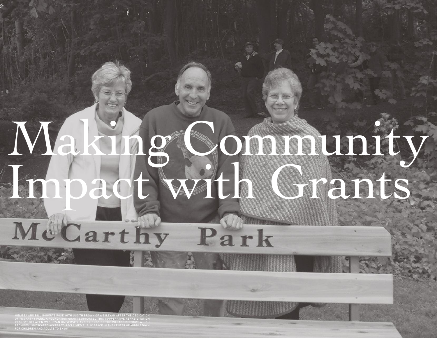# Making Community Impact with Grants Park

MELISSA AND BILL ROBERTS POSE WITH JUDITH BROWN OF WESLEYAN AFTER THE DEDICATION OF MCCARTHY PARK. A FOUNDATION GRANT SUPPORTED THIS COOPERATIVE REHABILITATION PROJECT BETWEEN WESLEYAN UNIVERSITY AND FRIENDS OF THE VILLAGE DISTRICT WHICH PROVIDES LANDSCAPED ACCESS TO RECLAIMED PUBLIC SPACE IN THE CENTER OF MIDDLETOWN FOR CHILDREN AND ADULTS TO ENJOY.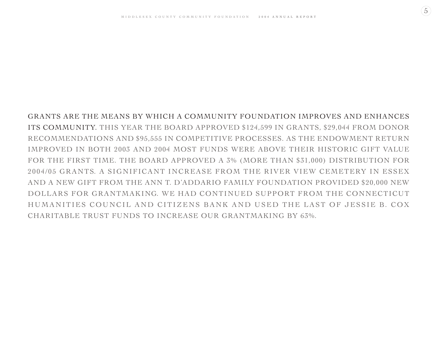$\left(5\right)$ 

GRANTS ARE THE MEANS BY WHICH A COMMUNITY FOUNDATION IMPROVES AND ENHANCES ITS COMMUNITY. THIS YEAR THE BOARD APPROVED \$124,599 IN GRANTS, \$29,044 FROM DONOR RECOMMENDATIONS AND \$95,555 IN COMPETITIVE PROCESSES. AS THE ENDOWMENT RETURN IMPROVED IN BOTH 2003 AND 2004 MOST FUNDS WERE ABOVE THEIR HISTORIC GIFT VALUE FOR THE FIRST TIME. THE BOARD APPROVED A 3% (MORE THAN \$31,000) DISTRIBUTION FOR 2004/05 GRANTS. A SIGNIFICANT INCREASE FROM THE RIVER VIEW CEMETERY IN ESSEX AND A NEW GIFT FROM THE ANN T. D'ADDARIO FAMILY FOUNDATION PROVIDED \$20,000 NEW DOLLARS FOR GRANTMAKING. WE HAD CONTINUED SUPPORT FROM THE CONNECTICUT HUMANITIES COUNCIL AND CITIZENS BANK AND USED THE LAST OF JESSIE B. COX CHARITABLE TRUST FUNDS TO INCREASE OUR GRANTMAKING BY 63%.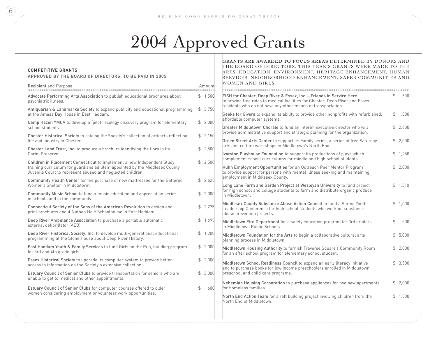# 2004 Approved Grants

| <b>COMPETITIVE GRANTS</b><br>APPROVED BY THE BOARD OF DIRECTORS, TO BE PAID IN 2005                                                                                                                                  | GRANTS ARE AWARDED TO FOCUS AREAS DETERMINED BY DONORS AND<br>THE BOARD OF DIRECTORS. THIS YEAR'S GRANTS WERE MADE TO THE<br>ARTS, EDUCATION, ENVIRONMENT, HERITAGE ENHANCEMENT, HUMAN<br>SERVICES, NEIGHBORHOOD ENHANCEMENT, SAFER COMMUNITIES AND |                                                                                                                                                                                                                       |    |         |  |  |  |  |
|----------------------------------------------------------------------------------------------------------------------------------------------------------------------------------------------------------------------|-----------------------------------------------------------------------------------------------------------------------------------------------------------------------------------------------------------------------------------------------------|-----------------------------------------------------------------------------------------------------------------------------------------------------------------------------------------------------------------------|----|---------|--|--|--|--|
| Recipient and Purpose                                                                                                                                                                                                | Amount                                                                                                                                                                                                                                              | WOMEN AND GIRLS.                                                                                                                                                                                                      |    |         |  |  |  |  |
| Advocate Performing Arts Association to publish educational brochures about<br>psychiatric illness.                                                                                                                  | \$1,500                                                                                                                                                                                                                                             | FISH for Chester, Deep River & Essex, Inc.-Friends in Service Here<br>to provide free rides to medical facilities for Chester, Deep River and Essex<br>residents who do not have any other means of transportation.   | \$ | 500     |  |  |  |  |
| Antiquarian & Landmarks Society to expand publicity and educational programming<br>at the Amasa Day House in East Haddam.                                                                                            | $$\mathbb{S}$$<br>3,750                                                                                                                                                                                                                             | Geeks for Givers to expand its ability to provide other nonprofits with refurbished,                                                                                                                                  |    | \$1,000 |  |  |  |  |
| Camp Hazen YMCA to develop a "pilot" ecology discovery program for elementary<br>school students.                                                                                                                    | \$2,000                                                                                                                                                                                                                                             | affordable computer systems.<br>Greater Middletown Chorale to fund an interim executive director who will                                                                                                             |    | \$2,600 |  |  |  |  |
| Chester Historical Society to catalog the Society's collection of artifacts reflecting                                                                                                                               |                                                                                                                                                                                                                                                     | provide administrative support and strategic planning for the organization.                                                                                                                                           |    |         |  |  |  |  |
| life and industry in Chester.                                                                                                                                                                                        | \$2,150                                                                                                                                                                                                                                             | Green Street Arts Center to support its Family series, a series of free Saturday<br>arts and culture workshops in Middletown's North End.                                                                             |    | \$2,000 |  |  |  |  |
| Chester Land Trust, Inc. to produce a brochure identifying the flora in its<br>Carini Preserve.                                                                                                                      | \$2,500                                                                                                                                                                                                                                             | Ivoryton Playhouse Foundation to support its productions of plays which                                                                                                                                               |    | \$1,250 |  |  |  |  |
| Children in Placement Connecticut to implement a new Independent Study<br>training curriculum for guardians ad litem appointed by the Middlesex County<br>Juvenile Court to represent abused and neglected children. | \$2,500                                                                                                                                                                                                                                             | complement school curriculums for middle and high school students.<br>Kuhn Employment Opportunities for an Outreach Peer Mentor Program<br>to provide support for persons with mental illness seeking and maintaining |    | \$2,000 |  |  |  |  |
| Community Health Center for the purchase of new mattresses for the Battered<br>Women's Shelter in Middletown.                                                                                                        | \$2,625                                                                                                                                                                                                                                             | employment in Middlesex County.<br>Long Lane Farm and Garden Project at Wesleyan University to fund project                                                                                                           |    | \$1,310 |  |  |  |  |
| Community Music School to fund a music education and appreciation series<br>in schools and in the community.                                                                                                         | \$2,000                                                                                                                                                                                                                                             | for high school and college students to farm and distribute organic produce<br>in Middletown.                                                                                                                         |    |         |  |  |  |  |
| Connecticut Society of the Sons of the American Revolution to design and<br>print brochures about Nathan Hale Schoolhouse in East Haddam.                                                                            | \$2,275                                                                                                                                                                                                                                             | Middlesex County Substance Abuse Action Council to fund a Spring Youth<br>Leadership Conference for high school students who work on substance<br>abuse prevention projects.                                          |    | \$1,000 |  |  |  |  |
| Deep River Ambulance Association to purchase a portable automatic<br>external defibrillator (AED).                                                                                                                   | \$1,695                                                                                                                                                                                                                                             | Middletown Fire Department for a safety education program for 3rd graders<br>in Middletown Public Schools.                                                                                                            | \$ | 500     |  |  |  |  |
| Deep River Historical Society, Inc. to develop multi-generational educational<br>programming at the Stone House about Deep River History.                                                                            | \$1,200                                                                                                                                                                                                                                             | Middletown Foundation for the Arts to begin a collaborative cultural arts<br>planning process in Middletown.                                                                                                          |    | \$5,000 |  |  |  |  |
| East Haddam Youth & Family Services to fund Girls on the Run, building program<br>for 3rd and 4th grade girls.                                                                                                       | \$2,000                                                                                                                                                                                                                                             | Middletown Housing Authority to furnish Traverse Square's Community Room<br>for an after school program for elementary school student.                                                                                |    | \$2,000 |  |  |  |  |
| Essex Historical Society to upgrade its computer system to provide better<br>access to information on the Society's extensive collection.                                                                            | \$2,000                                                                                                                                                                                                                                             | Middletown School Readiness Council to expand an early literacy initiative<br>and to purchase books for low income preschoolers enrolled in Middletown                                                                |    | \$3,500 |  |  |  |  |
| Estuary Council of Senior Clubs to provide transportation for seniors who are<br>unable to get to medical and other appointments.                                                                                    | \$3,000                                                                                                                                                                                                                                             | preschool and child care programs.                                                                                                                                                                                    |    |         |  |  |  |  |
| Estuary Council of Senior Clubs for computer courses offered to older                                                                                                                                                | 600<br>\$                                                                                                                                                                                                                                           | Nehemiah Housing Corporation to purchase appliances for two new apartments<br>for homeless families.                                                                                                                  |    | \$2,000 |  |  |  |  |
| women considering employment or volunteer work opportunities.                                                                                                                                                        |                                                                                                                                                                                                                                                     | North End Action Team for a raft building project involving children from the<br>North End of Middletown.                                                                                                             |    | \$1,500 |  |  |  |  |
|                                                                                                                                                                                                                      |                                                                                                                                                                                                                                                     |                                                                                                                                                                                                                       |    |         |  |  |  |  |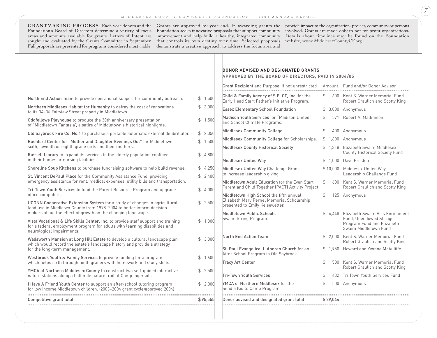**GRANTMAKING PROCESS** Each year donors and the Grants are approved by year end. In awarding grants the Foundation's Board of Directors determine a variety of focus Foundation seeks innovative proposals that support community areas and amounts available for grants. Letters of Intent are improvement and help build a healthy, integrated community sought and evaluated by the Grants Committee in September. that controls its own destiny over time. Selected proposals Full proposals are presented for programs considered most viable. demonstrate a creative approach to address the focus area and

provide impact to the organization, project, community or persons involved. Grants are made only to not for profit organizations. Details about timelines may be found on the Foundation website, www.MiddlesexCountyCF.org.

|                                                                                                                                                                                              |                           | <b>DONOR ADVISED AND DESIGNATED GRANTS</b><br>APPROVED BY THE BOARD OF DIRECTORS, PAID IN 2004/05   |    |          |                                                                     |  |
|----------------------------------------------------------------------------------------------------------------------------------------------------------------------------------------------|---------------------------|-----------------------------------------------------------------------------------------------------|----|----------|---------------------------------------------------------------------|--|
|                                                                                                                                                                                              |                           | Grant Recipient and Purpose, if not unrestricted                                                    |    |          | Amount Fund and/or Donor Advisor                                    |  |
| North End Action Team to provide operational support for community outreach.                                                                                                                 | \$1,500                   | Child & Family Agency of S.E. CT, Inc. for the<br>Early Head Start Father's Initiative Program.     | \$ |          | 600 Kent S. Warner Memorial Fund<br>Robert Graulich and Scotty King |  |
| Northern Middlesex Habitat for Humanity to defray the cost of renovations<br>to its 34-36 Fairview Street property in Middletown.                                                            | 3,000<br>\$               | <b>Essex Elementary School Foundation</b>                                                           |    |          | $$3,000$ Anonymous                                                  |  |
| Oddfellows Playhouse to produce the 30th anniversary presentation<br>of "Middletown Fantasia", a satire of Middletown's historical highlights.                                               | $\mathfrak{S}^-$<br>1,500 | Madison Youth Services for "Madison United"<br>and School Climate Programs.                         | \$ |          | 571 Robert A. Mallimson                                             |  |
| Old Saybrook Fire Co. No.1 to purchase a portable automatic external defibrillator.                                                                                                          | \$2,050                   | Middlesex Community College                                                                         | \$ |          | 400 Anonymous                                                       |  |
| Rushford Center for "Mother and Daughter Evenings Out" for Middletown                                                                                                                        | \$1,500                   | Middlesex Community College for Scholarships.                                                       |    |          | $$1,600$ Anonymous                                                  |  |
| sixth, seventh or eighth grade girls and their mothers.                                                                                                                                      |                           | <b>Middlesex County Historical Society</b>                                                          |    | \$1.318  | Elizabeth Swaim Middlesex<br><b>County Historical Society Fund</b>  |  |
| Russell Library to expand its services to the elderly population confined<br>in their homes or nursing facilities.                                                                           | \$4,800                   | Middlesex United Way                                                                                |    | \$1.000  | Dave Preston                                                        |  |
| Shoreline Soup Kitchens to purchase fundraising software to help build revenue.                                                                                                              | \$4,250                   | Middlesex United Way Challenge Grant                                                                |    |          | \$10,000 Middlesex United Way                                       |  |
| St. Vincent DePaul Place for the Community Assistance Fund, providing                                                                                                                        | \$2,400                   | to increase leadership giving.                                                                      |    |          | Leadership Challenge Fund                                           |  |
| emergency assistance for rent, medical expenses, utility bills and transportation.                                                                                                           |                           | Middletown Adult Education for the Even Start<br>Parent and Child Together (PACT) Activity Project. | \$ |          | 600 Kent S. Warner Memorial Fund<br>Robert Graulich and Scotty King |  |
| Tri-Town Youth Services to fund the Parent Resource Program and upgrade<br>office computers.                                                                                                 | \$4,000                   | Middletown High School the fifth annual                                                             | \$ |          | 125 Anonymous                                                       |  |
| UCONN Cooperative Extension System for a study of changes in agricultural<br>land use in Middlesex County from 1978-2004 to better inform decision                                           | \$2,500                   | Elizabeth Mary Pernel Memorial Scholarship<br>presented to Emily Keisewetter.                       |    |          |                                                                     |  |
| makers about the effect of growth on the changing landscape.                                                                                                                                 |                           | Middletown Public Schools<br>Swaim String Program.                                                  |    | \$4.448  | Elizabeth Swaim Arts Enrichment<br>Fund, Unendowed Strings          |  |
| Vista Vocational & Life Skills Center, Inc. to provide staff support and training<br>for a federal employment program for adults with learning disabilities and<br>neurological impairments. | \$1,000                   |                                                                                                     |    |          | Program Fund and Elizabeth<br>Swaim Middletown Fund                 |  |
| Wadsworth Mansion at Long Hill Estate to develop a cultural landscape plan<br>which would record the estate's landscape history and provide a strategy                                       | \$3,000                   | North End Action Team                                                                               |    | \$2.000  | Kent S. Warner Memorial Fund<br>Robert Graulich and Scotty King     |  |
| for the long-term management.                                                                                                                                                                |                           | St. Paul Evangelical Lutheran Church for an<br>After School Program in Old Saybrook.                |    |          | \$1.950 Howard and Yvonne McAuliffe                                 |  |
| Westbrook Youth & Family Services to provide funding for a program<br>which helps sixth through ninth graders with homework and study skills.                                                | \$1,600                   | <b>Tracy Art Center</b>                                                                             | \$ |          | 500 Kent S. Warner Memorial Fund<br>Robert Graulich and Scotty King |  |
| YMCA of Northern Middlesex County to construct two self-guided interactive<br>nature stations along a half mile nature trail at Camp Ingersoll.                                              | \$2,500                   | <b>Tri-Town Youth Services</b>                                                                      | \$ |          | 432 Tri Town Youth Services Fund                                    |  |
|                                                                                                                                                                                              |                           | YMCA of Northern Middlesex for the                                                                  | \$ |          | 500 Anonymous                                                       |  |
| I Have A Friend Youth Center to support an after-school tutoring program<br>for low income Middletown children. (2003-2004 grant cycle/approved 2004)                                        | \$2,000                   | Send a Kid to Camp Program.                                                                         |    |          |                                                                     |  |
| Competitive grant total                                                                                                                                                                      | \$95,555                  | Donor advised and designated grant total                                                            |    | \$29,044 |                                                                     |  |
|                                                                                                                                                                                              |                           |                                                                                                     |    |          |                                                                     |  |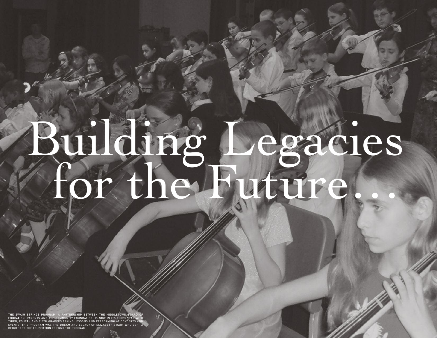# Building Legacies for the Future

THE SWAIM STRINGS PROGRAM, A PARTNERSHIP BETWEEN THE MIDDLETOWN BOARD OF<br>EDUCATION, PARENTS AND THE COMMUNITY FOUNDATION, IS NOW IN ITS THIRD YEAR WITH<br>THIRD, FOURTH AND FIFTH GRADERS TAKING LESSONS AND PERFORMING AT CONCE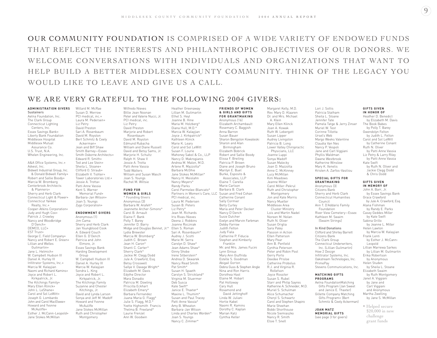OUR COMMUNITY FOUNDATION IS COMPRISED OF A WIDE VARIETY OF ENDOWED FUNDS THAT REFLECT THE INTERESTS AND PHILANTHROPIC OBJECTIVES OF OUR DONORS. WE WELCOME CONVERSATIONS WITH INDIVIDUALS AND ORGANIZATIONS THAT WANT TO HELP BUILD A BETTER MIDDLESEX COUNTY COMMUNITY. THINK OF THE LEGACY YOU WOULD LIKE TO LEAVE AND GIVE US A CALL.

### WE ARE VERY GRATEFUL TO THE FOLLOWING 2004 GIVERS:

**ADMINISTRATION GIVERS** Sustainers Aetna Foundation, Inc. The Clark Group Connecticut Lighting Centers, Inc. Essex Savings Bank**+** Liberty Bank Foundation Middlesex Hospital Middlesex Mutual Assurance Co. U.S. Trust, N.A. Whelen Engineering, Inc.

A&A Office Systems, Inc.**+** Advest, Inc. Bidwell Industrial Group, Inc. & Donald Bidwell Family**+** Robert and Sallie Boody**+** Marcia W. Bromberg Centerbrook Architects & Planners**+** Sherry and Herb Clark Connecticut Light & Power**+** Connecticut Yankee Realty, Inc.**+** Cooper-Atkins Corporation**+** Judy and Hugh Cox**+** Patrick J. Crowley Nancy and Woodbridge D'Oench**+** DEMCO, LLC**+** EST Trust**+** George C. Field Company**+** Nancy and Robert E. Green**+** Lillian and Welles Guilmartin**+** Jane L. Helmich**+** W. Campbell Hudson III Daniel A. Hurley III Infiltrator Systems, Inc.**+** Marcia W. Kalayjian Naomi and Richard Kamins**+** Joyce and Robert L. Kirkpatrick, Jr. The Kitchings Family**+** Mary Ellen Klinck**+** John L. LeShane**+** Carol and Sol LeWitt**+** Joseph G. Lombardo John and Carol MacElwee**+** Howard and Yvonne McAuliffe**+** Esther J. McCann-Leopold**+** Jane Stokes McMillan

Willard M. McRae Susan D. Merrow PCI medical, inc.**+** Laura M. Pedersen**+** Liz Petry David Preston Sari A. Rosenbaum David M. Royston Bert Schmitz & Ceely Ackerman**+** Jean and Biff Shaw Smith Barney—Essex Smith Osborne Architects**+** Edward R. Smith**+** Ted and Lee Stein**+** Sheila L. Stoane+ Clifford O. Straub**+** Elizabeth V. Tishler**+** Tower Laboratories Ltd.**+** Jessie A. Trotta**+** Patti Anne Vassia Kent S. Warner Memorial Fund**+** Barbara-Jan Wilson**+** Joan S. Youngs Zygo Corporation**+**

#### **ENDOWMENT GIVERS**

Anonymous (1) Jim Cama Sherry and Herb Clark Jan Youngblood Cook A. Edward Couch Ellen G. D'Oench Patricia and John Elmore, Jr. Essex Savings Bank Harding Development Group W. Campbell Hudson III Daniel A. Hurley III Marcia W. Kalayjian Sondra L. King Joyce and Robert L. Kirkpatrick, Jr. The Kitchings Family Suzanne and Chester Kitchings, Jr. David and Lynda Larson Sonya and Jeff M. Madoff Howard and Yvonne McAuliffe Jane Stokes McMillan Ruth and Christopher Montgomery

Wilfredo Nieves Billie Jean Noonan Peter and Valerie Nucci, Jr. PCI medical, inc. Liz Petry David Preston Marjorie and Robert Rosenbaum David M. Royston Edmund Rubacha William and Diane Russell David and Betsy Sams, Jr. Marjorie H. Schultz Ralph H. Shaw II Jessie A. Trotta Patti Anne Vassia Todd Walters William and Susan Wasch Joan S. Youngs Rachel M. Wiltsie **FUND FOR**

#### **WOMEN & GIRLS** \* Founding Givers

Anonymous (3) Barbara W. Arafeh\* Jeannette Archer-Simons\* Carol B. Arnault

Elaine F. Bank Polly T. Barey Jennifer D. Barry Lydia Brewster Marcia W. Bromberg\* Judith C. Brown Jean H. Caron\* Shanti C. Carter\* Sherry Clark\* Jackie M. Clegg Dodd Jule A. Crawford, Esq. Betsy Crosswell Sallye V. Davage Wright\* Elizabeth M. Davis Edythe Director Mara Donadio Patricia M. Dowling Priscilla Eckhart Elizabeth Emery\* Barbara Fernandez Juana Maria G. Flagg\* Julie S. Flagg, M.D. Yvette Highsmith Francis Thelma B. Freeland\* Laurie Frenzel Ann W. Goodwin

Midge and Douglas Bennet, Jr.\* Ellen S. Roman Heather Greenaway Lillian M. Guilmartin Ethel S. Heyl Joanne B. Hine Maria M. Holzberg\* Diana Hull, M.D.\* Marcia W. Kalayjian Joyce J. Kirkpatrick<sup>\*</sup> Kathleen Klinck Marie K. Leary Carol and Sol LeWitt Susan F. Lourie Mahoney Sabol & Co., LLP Nancy D. Makrogianis Andrea M. Malon, M.D. Arlene R. Mazzotta\* Barbara McGhie Jane Stokes McMillan\* Nancy H. Meislahn Nancy Meyers\* Randy Parks Carol Parmelee-Blancato\* PCI medical, inc. Laura M. Pedersen Susan B. Peters Liz Petry\* Jean M. Richards Iris Rivas-Nieves Deena J. Robbins Joanne Roczniak Sari A. Rosenbaum\* Audrey J. Scotti Marie M. Serra Carolyn D. Shaw\* Jean Adams Shaw\* Ginny Shobe Irene Silberstein\* Andrea D. Skwarek Nancy Read Smith Pat Smith\* Susan H. Spaeth Carolyn S. Strickland\* Virginia M. Stuermer Deb Susca Kate Swift\* Janice E. Thaxter\* Maxine L. Thumim\* Susan and Paul Tracey Patti Anne Vassia\* Amy B. Wheaton Barbara-Jan Wilson Linda and Charles Worden\* Joan S. Youngs Nancy C. Zimmer<sup>\*</sup>

Partners in Women's Care, LLC Susan and Fred Cohan **FRIENDS OF WOMEN & GIRLS AND GIFTS FOR GRANTMAKING** Anonymous (16) Elizabeth Archambault Rosemary C. Baggish Anna Barron Susan Bauer Sharon Bengston Kowaleski Sharon and Alan Birmingham Elizabeth Bobrick Robert and Sallie Boody Elissa F. Breiling Patricia P. Brown Diane and Joseph Bruno Marilyn E. Buel Burke, Esposito & Associates, LLP Elaine T. Carella Marie Carlson Barbara B. Clark Catherine Conant Sally Cormier Betty Curley Maria and Peter Decker Nancy D'Oench Susie Dutcher Evelyn and Marvin Farbman Debby Farrow Judith Felton Judy Fiala Catherine P. Fiducia Stephen and Kimberly Franklin Mr. and Mrs. James Fucini Lynn Giroux Mary Ann Giuffrida Estelle S. Goodman Abigail Gorton Debra Guss & Stephen Angle Nina and Ron Harris Dorothea Hast Elaine M. Hobart Pat Holloway Cary Hull Rosamond and David Jettinghoff Linda W. Juliani Hortie Kabel Naomi R. Kamins Dorothy C. Kaplan Marian Katz Cynthia Keller

Rev. Mary D. Klaaren Dr. and Mrs. Michael A. Klein Mary Ellen Klinck Joan A. Kowak Ruth W. Lebergott Susan Lipper Audrey Livingston Patricia B. Long Lower Valley Chiropractic Physicians, LLC Joanne Luppi Sonya Madoff Susan Malecky Joan D. Mazzotta Anne C. McKinney Lucy McMillan Kim Meadows Jeanne Miller Carol Miller-Pekrul Ruth and Christopher Montgomery Jon and Kate Morris Nancy Mueller Middlesex Area Cluster Ministry Lois and Martin Nadel Noreen M. Nolan Ruth N. Oliver Susan Origlia Sara Paley Passion in Action Ellen Patterson Mary Pear Ann B. Penfield Cynthia Peterson Peter and Robin Pool Gerry Porto Deedee Prisloe Catherine Probolus R.J. and Virginia R. Rollefson Joyce Rossiter Susan S. Rubel Starr and Philip Sayres Katherine A. Schneider, M.D. Muriel S. Schulman Alice Schumacher Cheryl S. Schwartz Carol and Stephen Shapiro Marie Sheehan Bobbi Shorthouse Nicole Siemiaszko Nancy R. Smith Elsie T. Snell

Margaret Kelly, M.D.

Lori J. Soltis Patricia Statham Sheila L. Stoane Jennifer Tate Pamela Tatge & Jerry Zinser Muriel W. Test Corinne Tillotta Ursel's Web Margo Weeks Valentine Claudia Van Nes Nancy P. Vespoli Jane and Carl Viggiani Phyllis Waldman Dawne Westbrook Katherine Winslow Mary K. Xenelis Kristen A. Zarfos-Vasiliou **SPECIAL GIFTS FOR GRANTMAKING** Anonymous (3) Citizens Bank Sherry and Herb Clark Connecticut Humanities Council Ann T. D'Addario Family Foundation River View Cemetery—Essex Kathleen M. Swaim (Swaim Strings) In Kind Donations

Clifford and Shirley Barrett Citizens Bank The Clark Group Connecticut Underwriters, Inc. (Lillian Guilmartin) How 2 Design Infiltrator Systems, Inc. Oakstream Technologies, Inc. PrimePay Stevens Communications, Inc.

#### **MATCHING GIFTS PROGRAMS** Aetna FoundationMatching

Gifts Program (Jan Sweet and Janice E. Thaxter) Gillette Company Matching Gifts Program**+** (Bert Schmitz & Ceely Ackerman)

**JOAN MATZ MEMORIAL GIFTS**  (see page 3 for givers)

#### **GIFTS GIVEN IN HONOR OF**

Heather D. Benedict by Elizabeth M. Davis The Book Babes by Polly T. Barey Gwendolyn Felton by Judith L. Felton Carol and Sol LeWitt by Catherine Conant Ruth N. Oliver by Patti Anne Vassia Liz Petry & Larry Riley by Patti Anne Vassia Kate Swift by Ruth N. Oliver and Jackie Clegg Dodd & Chris Dodd

#### **GIFTS GIVEN IN MEMORY OF**

John A. Barr, Jr. by Essex Savings Bank Grace Crawford by Jule A. Crawford, Esq. Alana Fishman by Randy E. Parks Casey Geddes Miller by Kate Swift Sabina Grillo by Jeanne L. Miller Helen Lawton by Marcia W. Kalayjian Frank Lenti by Esther J. McCann-Leopold Lillian Marrewa Sarkes by Lillian M. Guilmartin Erika Robertson by Anonymous Helen Studen by Sheila L. Stoane Elizabeth Swaim by Ruth Montgomery Janet A. Viggiani by Jane and Carl Viggiani and Anonymous Martha Zwelling by Jane S. McMillan **+** Helped secure \$20,000 in new

challenge grant funds  $\left( 9\right)$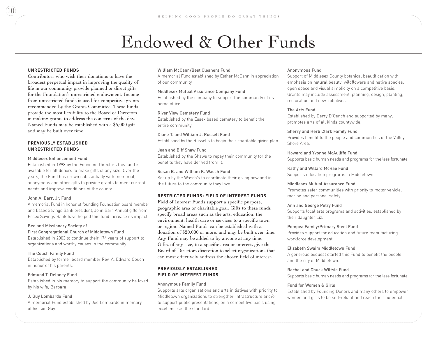## Endowed & Other Funds

#### **UNRESTRICTED FUNDS**

Contributors who wish their donations to have the broadest perpetual impact in improving the quality of life in our community provide planned or direct gifts for the Foundation's unrestricted endowment. Income from unrestricted funds is used for competitive grants recommended by the Grants Committee. These funds provide the most flexibility to the Board of Directors in making grants to address the concerns of the day. Named Funds may be established with a \$5,000 gift and may be built over time.

#### **PREVIOUSLY ESTABLISHED UNRESTRICTED FUNDS**

#### Middlesex Enhancement Fund

Established in 1998 by the Founding Directors this fund is available for all donors to make gifts of any size. Over the years, the Fund has grown substantially with memorial, anonymous and other gifts to provide grants to meet current needs and improve conditions of the county.

#### John A. Barr, Jr. Fund

A memorial Fund in honor of founding Foundation board member and Essex Savings Bank president, John Barr. Annual gifts from Essex Savings Bank have helped this fund increase its impact.

#### Bee and Missionary Society of

#### First Congregational Church of Middletown Fund

Established in 2003 to continue their 174 years of support to organizations and worthy causes in the community.

#### The Couch Family Fund

Established by former board member Rev. A. Edward Couch in honor of his parents.

#### Edmund T. Delaney Fund

Established in his memory to support the community he loved by his wife, Barbara.

#### J. Guy Lombardo Fund

A memorial Fund established by Joe Lombardo in memory of his son Guy.

#### William McCann/Best Cleaners Fund

A memorial Fund established by Esther McCann in appreciation of our community.

#### Middlesex Mutual Assurance Company Fund

Established by the company to support the community of its home office.

#### River View Cemetery Fund

Established by the Essex based cemetery to benefit the entire community.

Diane T. and William J. Russell Fund Established by the Russells to begin their charitable giving plan.

#### Jean and Biff Shaw Fund

Established by the Shaws to repay their community for the benefits they have derived from it.

#### Susan B. and William K. Wasch Fund

Set up by the Wasch's to coordinate their giving now and in the future to the community they love.

#### **RESTRICTED FUNDS: FIELD OF INTEREST FUNDS**

Field of Interest Funds support a specific purpose, geographic area or charitable goal. Gifts to these funds specify broad areas such as the arts, education, the environment, health care or services to a specific town or region. Named Funds can be established with a donation of \$20,000 or more, and may be built over time. Any Fund may be added to by anyone at any time. Gifts, of any size, to a specific area or interest, give the Board of Directors discretion to select organizations that can most effectively address the chosen field of interest.

#### **PREVIOUSLY ESTABLISHED FIELD OF INTEREST FUNDS**

#### Anonymous Family Fund

Supports arts organizations and arts initiatives with priority to Middletown organizations to strengthen infrastructure and/or to support public presentations, on a competitive basis using excellence as the standard.

#### Anonymous Fund

Support of Middlesex County botanical beautification with emphasis on natural beauty, wildflowers and native species, open space and visual simplicity on a competitive basis. Grants may include assessment, planning, design, planting, restoration and new initiatives.

#### The Arts Fund

Established by Derry D'Oench and supported by many, promotes arts of all kinds countywide.

Sherry and Herb Clark Family Fund Provides benefit to the people and communities of the Valley Shore Area.

Howard and Yvonne McAuliffe Fund Supports basic human needs and programs for the less fortunate.

Kathy and Willard McRae Fund Supports education programs in Middletown.

#### Middlesex Mutual Assurance Fund

Promotes safer communities with priority to motor vehicle, marine and personal safety.

#### Ann and George Petry Fund

Supports local arts programs and activities, established by their daughter Liz.

#### Pompea Family/Primary Steel Fund

Provides support for education and future manufacturing workforce development.

#### Elizabeth Swaim Middletown Fund

A generous bequest started this Fund to benefit the people and the city of Middletown.

#### Rachel and Chuck Wiltsie Fund

Supports basic human needs and programs for the less fortunate.

#### Fund for Women & Girls

Established by Founding Donors and many others to empower women and girls to be self-reliant and reach their potential.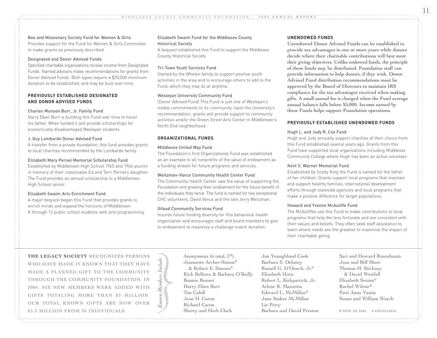#### Bee and Missionary Society Fund for Women & Girls Provides support for the Fund for Women & Girls Committee to make grants as previously described.

#### Designated and Donor Advised Funds

Specified charitable organizations receive income from Designated Funds. Named advisors make recommendations for grants from Donor Advised Funds. Both types require a \$20,000 minimum donation to be established, and may be built over time.

#### **PREVIOUSLY ESTABLISHED DESIGNATED AND DONOR ADVISED FUNDS**

#### Charles Munson Burr, Jr. Family Fund

Harry Eben Burr is building this Fund over time to honor his father. When funded it will provide scholarships for economically disadvantaged Wesleyan students.

#### J. Guy Lombardo Donor Advised Fund

A transfer from a private foundation, this fund provides grants to local charities recommended by the Lombardo family.

#### Elizabeth Mary Pernel Memorial Scholarship Fund

Established by Middletown High School 1965 and 1966 alumni in memory of their classmates Ed and Terri Pernel's daughter. The Fund provides an annual scholarship to a Middletown High School senior.

#### Elizabeth Swaim Arts Enrichment Fund

A major bequest began this Fund that provides grants to enrich minds and expand the horizons of Middletown K through 12 public school students with arts programming.

#### Elizabeth Swaim Fund for the Middlesex County Historical Society

A bequest established this Fund to support the Middlesex County Historical Society

#### Tri-Town Youth Services Fund

Started by the Whelen family to support positive youth activities in the area and to encourage others to add to the Fund, which they may do at anytime.

#### Wesleyan University Community Fund

(Donor Advised Fund) This Fund is just one of Wesleyan's visible commitments to its community. Upon the University's recommendation, grants will provide support to community activities and/or the Green Street Arts Center in Middletown's North End neighborhood.

#### **ORGANIZATIONAL FUNDS**

#### Middlesex United Way Fund

The Foundation's first Organizational Fund was established as an example to all nonprofits of the value of endowment as a funding stream for future programs and services.

#### Weitzman–Vance Community Health Center Fund

The Community Health Center saw the value of supporting the Foundation and growing their endowment for the future benefit of the individuals they serve. The fund is named for two exceptional CHC volunteers, David Vance and the late Jerry Weitzman.

#### Gilead Community Services Fund

*Known Members Include*

Insures future funding diversity for this behavioral health organization and encourages staff and board members to give to endowment to maximize a challenge match donation.

#### **UNENDOWED FUNDS**

Unendowed Donor Advised Funds can be established to provide tax advantages in one or more years while donors decide where their charitable contributions will best meet their giving objectives. Unlike endowed funds, the principle of these funds may be distributed. Foundation staff can provide information to help donors, if they wish. Donor Advised Fund distribution recommendations must be approved by the Board of Directors to maintain IRS compliance for the tax advantages received when making gifts. A small annual fee is charged when the Fund average annual balance falls below \$5,000. Income earned by these Funds helps support Foundation operations.

#### **PREVIOUSLY ESTABLISHED UNENDOWED FUNDS**

#### Hugh L. and Judy R. Cox Fund

Hugh and Judy annually support charities of their choice from this Fund established several years ago. Grants from this Fund have supported local organizations including Middlesex Community College where Hugh has been an active volunteer.

#### Kent S. Warner Memorial Fund

Established by Scotty King the Fund is named for the father of her children. Grants support local programs that maintain and support healthy families, international development efforts through stateside agencies and local programs that make a positive difference for target populations.

#### Howard and Yvonne McAuliffe Fund

The McAuliffes use this Fund to make contributions to local programs that help the less fortunate and are consistent with their values and beliefs. They often seek staff assistance to learn where needs are the greatest to maximize the impact of their charitable giving.

**THE LEGACY SOCIETY** RECOGNIZES PERSONS WHO HAVE MADE IT KNOWN THAT THEY HAVE MADE A PLANNED GIFT TO THE COMMUNITY THROUGH THE COMMUNITY FOUNDATION. IN 2004, SIX NEW MEMBERS WERE ADDED WITH GIFTS TOTALING MORE THAN \$3 MILLION. OUR TOTAL KNOWN GIFTS ARE NOW OVER \$5.3 MILLION FROM 36 INDIVIDUALS.

Anonymous (6 total, 2#) Jeannette Archer-Simon# & Robert E. Simons# Rick Bellows & Barbara O'Reilly Bonnie Bennet Harry Eben Burr Tim Cahill Jean H. Caron Richard Caron Sherry and Herb Clark Anonymous (6 total, 2<sup>#)</sup><br>
Jan Youngblood Cook Sari and Howard Rosenbau<br>
Jeannette Archer-Simon#Barbara S. Delaney Jean and Biff Shaw<br>
Rick Bellows & Barbara O'Reilly Elizabeth Horn & David Westfall<br>
Bonnie Bennet Robert L

Jan Youngblood Cook Barbara S. Delaney Russell G. D'Oench, Jr.\* Elizabeth Horn Robert L. Kirkpatrick, Jr. Arlene R. Mazzotta Edward L. McMillan# Jane Stokes McMillan Liz Petry Barbara and David Preston Sari and Howard Rosenbaum Jean and Biff Shaw Thomas H. Stickney & David Westfall Elizabeth Swaim\* Rachel Wiltsie# Patti Anne Vassia

11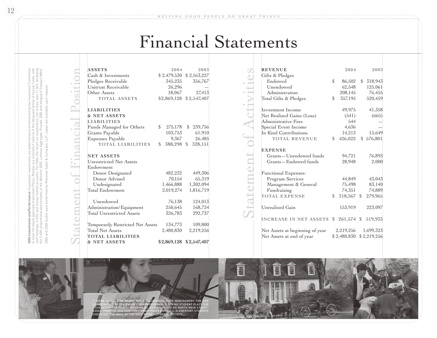## Financial Statements

 $\cup$  $\overline{\phantom{0}}$ a  $\overline{\phantom{0}}$  $\circlearrowright$ m  $\circlearrowright$  $\Box$  $\overline{\phantom{0}}$ o  $\rightarrow$  $\mathbf{r}$ i n a  $\Box$  $\bigcirc$ i a  $\overline{\phantom{a}}$  $\triangle$ o

sit io

 $\subseteq$ 

| <b>ASSETS</b>                     | 2004          | 2003                      |
|-----------------------------------|---------------|---------------------------|
| Cash & Investments                |               | $$2,479,530$ $$2,163,227$ |
| Pledges Receivable                | 345,235       | 356,767                   |
| Unitrust Receivable               | 26,296        |                           |
| Other Assets                      | 18,067        | 27,413                    |
| <b>TOTAL ASSETS</b>               |               | \$2,869,128 \$2,547,407   |
| <b>LIABILITIES</b>                |               |                           |
| <b>&amp; NET ASSETS</b>           |               |                           |
| <b>LIABILITIES</b>                |               |                           |
| Funds Managed for Others          | \$<br>275,178 | \$ 239,756                |
| Grants Payable                    | 103,753       | 61,910                    |
| <b>Expenses Payable</b>           | 9,367         | 26,485                    |
| <b>TOTAL LIABILITIES</b>          | \$            | 388,298 \$ 328,151        |
| <b>NET ASSETS</b>                 |               |                           |
| Unrestricted Net Assets           |               |                           |
| Endowment                         |               |                           |
| Donor Designated                  | 482,232       | 449,306                   |
| Donor Advised                     | 70,154        | 65,319                    |
| Undesignated                      | 1,466,888     | 1,302,094                 |
| Total Endowment                   | 2,019,274     | 1,816,719                 |
| Unendowed                         | 76,138        | 124,013                   |
| Administration/Equipment          | 250,645       | 168,724                   |
| <b>Total Unrestricted Assets</b>  | 326,783       | 292,737                   |
| Temporarily Restricted Net Assets | 134,773       | 109,800                   |
| <b>Total Net Assets</b>           | 2,480,830     | 2,219,256                 |
| <b>TOTAL LIABILITIES</b>          |               |                           |
| <b>&amp; NET ASSETS</b>           |               | \$2,869,128 \$2,547,407   |

| <b>REVENUE</b>                  |    | 2004        | 2003        |
|---------------------------------|----|-------------|-------------|
| Gifts & Pledges                 |    |             |             |
| Endowed                         | \$ | 86,502      | \$318,943   |
| Unendowed                       |    | 62,548      | 125,061     |
| Administration                  |    | 208,145     | 76,455      |
| Total Gifts & Pledges           | \$ | 357,195     | 520,459     |
| Investment Income               |    | 49,975      | 41,358      |
| Net Realized Gains (Loss)       |    | (541)       | (665)       |
| Administrative Fees             |    | 544         |             |
| Special Event Income            |    | 4,636       |             |
| In Kind Contributions           |    | 14,213      | 15,649      |
| <b>TOTAL REVENUE</b>            | \$ | 426,022     | \$576,801   |
| <b>EXPENSE</b>                  |    |             |             |
| Grants-Unendowed funds          |    | 94,721      | 76,893      |
| Grants-Endowed funds            |    | 28.948      | 2,000       |
| <b>Functional Expenses:</b>     |    |             |             |
| Program Services                |    | 44,849      | 43,043      |
| Management & General            |    | 75,498      | 83,140      |
| Fundraising                     |    | 74,351      | 74,889      |
| <b>TOTAL EXPENSE</b>            | \$ | 318,367 \$  | 279,965     |
| Unrealized Gain                 |    | 153,919     | 223,097     |
| <b>INCREASE IN NET ASSETS</b>   | S. | 261,574 \$  | 519,933     |
| Net Assets at beginning of year |    | 2,219,256   | 1,699,323   |
| Net Assets at end of year       |    | \$2,480,830 | \$2,219,256 |
|                                 |    |             |             |



 $\mathcal{S}$  $\leftarrow$ 

 $\leftarrow$ 

 $\leftarrow$ 

o $\leftharpoons$ 

A  $\cup$ 

tivit

 $\overline{\phantom{a}}$  $\bigcirc$  $\cup$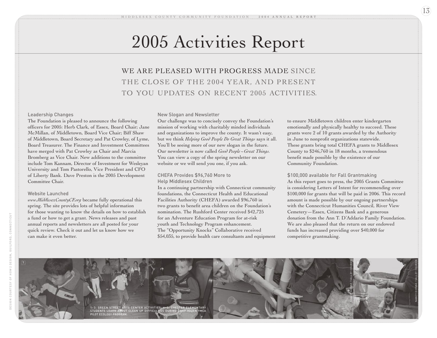## 2005 Activities Report

WE ARE PLEASED WITH PROGRESS MADE SINCE THE CLOSE OF THE 2004 YEAR, AND PRESENT TO YOU UPDATES ON RECENT 2005 ACTIVITIES .

#### Leadership Changes

The Foundation is pleased to announce the following officers for 2005: Herb Clark, of Essex, Board Chair; Jane McMillan, of Middletown, Board Vice Chair; Biff Shaw of Middletown, Board Secretary and Pat Crowley, of Lyme, Board Treasurer. The Finance and Investment Committees have merged with Pat Crowley as Chair and Marcia Bromberg as Vice Chair. New additions to the committee include Tom Kannam, Director of Investment for Wesleyan University and Tom Pastorello, Vice President and CFO of Liberty Bank. Dave Preston is the 2005 Development Committee Chair.

#### Website Launched

*www.MiddlesexCountyCF.org* became fully operational this spring. The site provides lots of helpful information for those wanting to know the details on how to establish a fund or how to get a grant. News releases and past annual reports and newsletters are all posted for your quick review. Check it out and let us know how we can make it even better.

#### New Slogan and Newsletter

Our challenge was to concisely convey the Foundation's mission of working with charitably minded individuals and organizations to improve the county. It wasn't easy, but we think *Helping Good People Do Great Things* says it all. You'll be seeing more of our new slogan in the future. Our newsletter is now called *Good People ~Great Things.* You can view a copy of the spring newsletter on our website or we will send you one, if you ask.

#### CHEFA Provides \$96,760 More to Help Middlesex Children

In a continuing partnership with Connecticut community foundations, the Connecticut Health and Educational Facilities Authority (CHEFA) awarded \$96,760 in two grants to benefit area children on the Foundation's nomination. The Rushford Center received \$42,725 for an Adventure Education Program for at-risk youth and Technology Program enhancement. The "Opportunity Knocks" Collaborative received \$54,035, to provide health care consultants and equipment to ensure Middletown children enter kindergarten emotionally and physically healthy to succeed. These grants were 2 of 10 grants awarded by the Authority in June to nonprofit organizations statewide. These grants bring total CHEFA grants to Middlesex County to \$246,760 in 18 months, a tremendous benefit made possible by the existence of our Community Foundation.

#### \$100,000 available for Fall Grantmaking

As this report goes to press, the 2005 Grants Committee is considering Letters of Intent for recommending over \$100,000 for grants that will be paid in 2006. This record amount is made possible by our ongoing partnerships with the Connecticut Humanities Council, River View Cemetery—Essex, Citizens Bank and a generous donation from the Ann T. D'Addario Family Foundation. We are also pleased that the return on our endowed funds has increased providing over \$40,000 for competitive grantmaking.